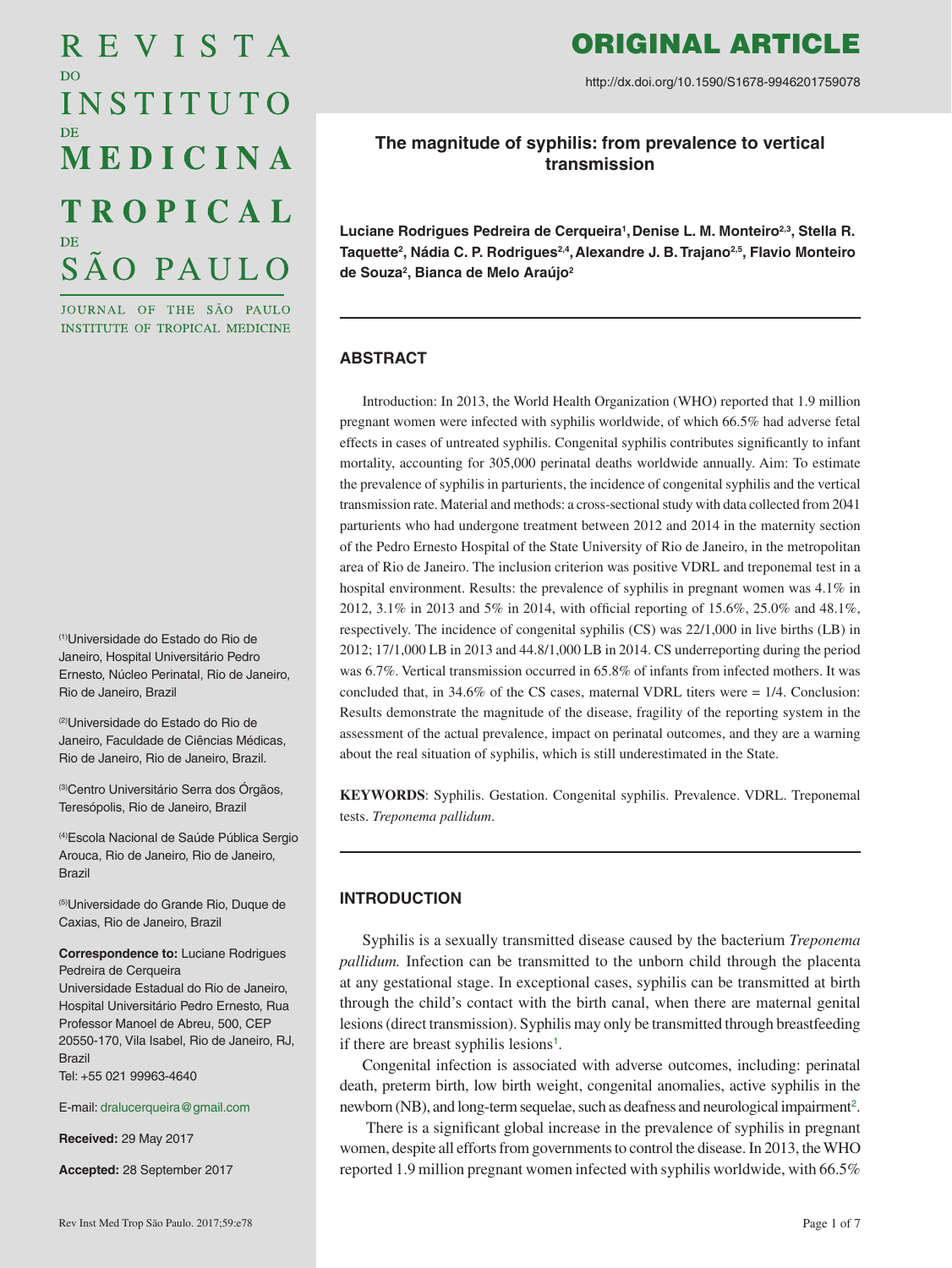# REVISTA D<sub>O</sub> INSTITUTO MEDICINA **TROPICAL** SÃO PAULO

JOURNAL OF THE SÃO PAULO INSTITUTE OF TROPICAL MEDICINE

(1)Universidade do Estado do Rio de Janeiro, Hospital Universitário Pedro Ernesto, Núcleo Perinatal, Rio de Janeiro, Rio de Janeiro, Brazil

(2)Universidade do Estado do Rio de Janeiro, Faculdade de Ciências Médicas, Rio de Janeiro, Rio de Janeiro, Brazil.

(3)Centro Universitário Serra dos Órgãos, Teresópolis, Rio de Janeiro, Brazil

(4)Escola Nacional de Saúde Pública Sergio Arouca, Rio de Janeiro, Rio de Janeiro, Brazil

(5)Universidade do Grande Rio, Duque de Caxias, Rio de Janeiro, Brazil

#### **Correspondence to:** Luciane Rodrigues Pedreira de Cerqueira

Universidade Estadual do Rio de Janeiro, Hospital Universitário Pedro Ernesto, Rua Professor Manoel de Abreu, 500, CEP 20550-170, Vila Isabel, Rio de Janeiro, RJ, **Brazil** Tel: +55 021 99963-4640

E-mail: [dralucerqueira@gmail.com](mailto:dralucerqueira%40gmail.com?subject=)

**Received:** 29 May 2017

**Accepted:** 28 September 2017

# ORIGINAL ARTICLE

http://dx.doi.org/10.1590/S1678-9946201759078

**The magnitude of syphilis: from prevalence to vertical transmission**

Luciane Rodrigues Pedreira de Cerqueira<sup>1</sup>, Denise L. M. Monteiro<sup>2,3</sup>, Stella R. Taquette<sup>2</sup>, Nádia C. P. Rodrigues<sup>2,4</sup>, Alexandre J. B. Trajano<sup>2,5</sup>, Flavio Monteiro **de Souza2 , Bianca de Melo Araújo2**

# **ABSTRACT**

Introduction: In 2013, the World Health Organization (WHO) reported that 1.9 million pregnant women were infected with syphilis worldwide, of which 66.5% had adverse fetal effects in cases of untreated syphilis. Congenital syphilis contributes significantly to infant mortality, accounting for 305,000 perinatal deaths worldwide annually. Aim: To estimate the prevalence of syphilis in parturients, the incidence of congenital syphilis and the vertical transmission rate. Material and methods: a cross-sectional study with data collected from 2041 parturients who had undergone treatment between 2012 and 2014 in the maternity section of the Pedro Ernesto Hospital of the State University of Rio de Janeiro, in the metropolitan area of Rio de Janeiro. The inclusion criterion was positive VDRL and treponemal test in a hospital environment. Results: the prevalence of syphilis in pregnant women was 4.1% in 2012, 3.1% in 2013 and 5% in 2014, with official reporting of 15.6%, 25.0% and 48.1%, respectively. The incidence of congenital syphilis (CS) was 22/1,000 in live births (LB) in 2012; 17/1,000 LB in 2013 and 44.8/1,000 LB in 2014. CS underreporting during the period was 6.7%. Vertical transmission occurred in 65.8% of infants from infected mothers. It was concluded that, in  $34.6\%$  of the CS cases, maternal VDRL titers were =  $1/4$ . Conclusion: Results demonstrate the magnitude of the disease, fragility of the reporting system in the assessment of the actual prevalence, impact on perinatal outcomes, and they are a warning about the real situation of syphilis, which is still underestimated in the State.

**KEYWORDS**: Syphilis. Gestation. Congenital syphilis. Prevalence. VDRL. Treponemal tests. *Treponema pallidum*.

# **INTRODUCTION**

Syphilis is a sexually transmitted disease caused by the bacterium *Treponema pallidum.* Infection can be transmitted to the unborn child through the placenta at any gestational stage. In exceptional cases, syphilis can be transmitted at birth through the child's contact with the birth canal, when there are maternal genital lesions (direct transmission). Syphilis may only be transmitted through breastfeeding if there are breast syphilis lesions<sup>[1](#page-4-0)</sup>.

<span id="page-0-0"></span>Congenital infection is associated with adverse outcomes, including: perinatal death, preterm birth, low birth weight, congenital anomalies, active syphilis in the newborn (NB), and long-term sequelae, such as deafness and neurological impairment<sup>[2](#page-4-0)</sup>.

<span id="page-0-1"></span> There is a significant global increase in the prevalence of syphilis in pregnant women, despite all efforts from governments to control the disease. In 2013, the WHO reported 1.9 million pregnant women infected with syphilis worldwide, with 66.5%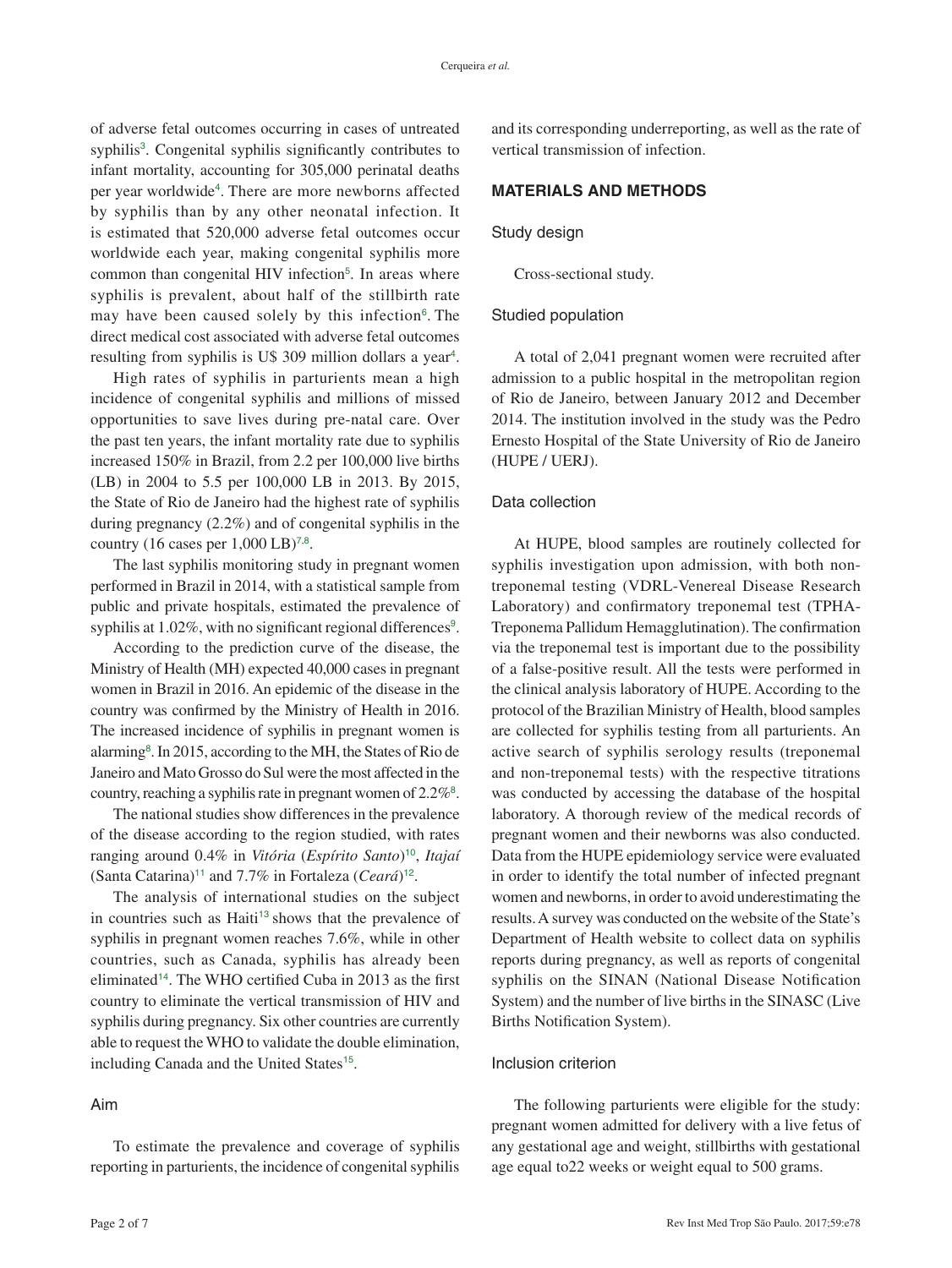<span id="page-1-1"></span><span id="page-1-0"></span>of adverse fetal outcomes occurring in cases of untreated syphilis<sup>[3](#page-5-0)</sup>. Congenital syphilis significantly contributes to infant mortality, accounting for 305,000 perinatal deaths per year worldwide<sup>[4](#page-5-0)</sup>. There are more newborns affected by syphilis than by any other neonatal infection. It is estimated that 520,000 adverse fetal outcomes occur worldwide each year, making congenital syphilis more common than congenital HIV infection<sup>[5](#page-5-0)</sup>. In areas where syphilis is prevalent, about half of the stillbirth rate may have been caused solely by this infection $6$ . The direct medical cost associated with adverse fetal outcomes resulting from syphilis is U\$ 309 million dollars a year<sup>[4](#page-5-0)</sup>.

<span id="page-1-3"></span><span id="page-1-2"></span>High rates of syphilis in parturients mean a high incidence of congenital syphilis and millions of missed opportunities to save lives during pre-natal care. Over the past ten years, the infant mortality rate due to syphilis increased 150% in Brazil, from 2.2 per 100,000 live births (LB) in 2004 to 5.5 per 100,000 LB in 2013. By 2015, the State of Rio de Janeiro had the highest rate of syphilis during pregnancy (2.2%) and of congenital syphilis in the country (16 cases per  $1,000 \text{ LB}$ )<sup>[7](#page-5-0),[8](#page-5-0)</sup>.

<span id="page-1-4"></span>The last syphilis monitoring study in pregnant women performed in Brazil in 2014, with a statistical sample from public and private hospitals, estimated the prevalence of syphilis at 1.02%, with no significant regional differences<sup>[9](#page-5-0)</sup>.

According to the prediction curve of the disease, the Ministry of Health (MH) expected 40,000 cases in pregnant women in Brazil in 2016. An epidemic of the disease in the country was confirmed by the Ministry of Health in 2016. The increased incidence of syphilis in pregnant women is alarming<sup>[8](#page-5-0)</sup>. In 2015, according to the MH, the States of Rio de Janeiro and Mato Grosso do Sul were the most affected in the country, reaching a syphilis rate in pregnant women of  $2.2\%$ <sup>[8](#page-5-0)</sup>.

The national studies show differences in the prevalence of the disease according to the region studied, with rates ranging around 0.4% in *Vitória* (*Espírito Santo*)[10](#page-5-0), *Itajaí* (Santa Catarina)[11](#page-5-0) and 7.7% in Fortaleza (*Ceará*)[12](#page-5-0).

<span id="page-1-11"></span><span id="page-1-10"></span><span id="page-1-8"></span>The analysis of international studies on the subject in countries such as Haiti<sup>[13](#page-5-0)</sup> shows that the prevalence of syphilis in pregnant women reaches 7.6%, while in other countries, such as Canada, syphilis has already been eliminated[14](#page-5-0). The WHO certified Cuba in 2013 as the first country to eliminate the vertical transmission of HIV and syphilis during pregnancy. Six other countries are currently able to request the WHO to validate the double elimination, including Canada and the United States<sup>[15](#page-5-0)</sup>.

# <span id="page-1-12"></span>Aim

To estimate the prevalence and coverage of syphilis reporting in parturients, the incidence of congenital syphilis

and its corresponding underreporting, as well as the rate of vertical transmission of infection.

# **MATERIALS AND METHODS**

#### Study design

Cross-sectional study.

#### Studied population

A total of 2,041 pregnant women were recruited after admission to a public hospital in the metropolitan region of Rio de Janeiro, between January 2012 and December 2014. The institution involved in the study was the Pedro Ernesto Hospital of the State University of Rio de Janeiro (HUPE / UERJ).

#### Data collection

<span id="page-1-6"></span><span id="page-1-5"></span>At HUPE, blood samples are routinely collected for syphilis investigation upon admission, with both nontreponemal testing (VDRL-Venereal Disease Research Laboratory) and confirmatory treponemal test (TPHA-Treponema Pallidum Hemagglutination). The confirmation via the treponemal test is important due to the possibility of a false-positive result. All the tests were performed in the clinical analysis laboratory of HUPE. According to the protocol of the Brazilian Ministry of Health, blood samples are collected for syphilis testing from all parturients. An active search of syphilis serology results (treponemal and non-treponemal tests) with the respective titrations was conducted by accessing the database of the hospital laboratory. A thorough review of the medical records of pregnant women and their newborns was also conducted. Data from the HUPE epidemiology service were evaluated in order to identify the total number of infected pregnant women and newborns, in order to avoid underestimating the results. A survey was conducted on the website of the State's Department of Health website to collect data on syphilis reports during pregnancy, as well as reports of congenital syphilis on the SINAN (National Disease Notification System) and the number of live births in the SINASC (Live Births Notification System).

#### <span id="page-1-9"></span><span id="page-1-7"></span>Inclusion criterion

The following parturients were eligible for the study: pregnant women admitted for delivery with a live fetus of any gestational age and weight, stillbirths with gestational age equal to22 weeks or weight equal to 500 grams.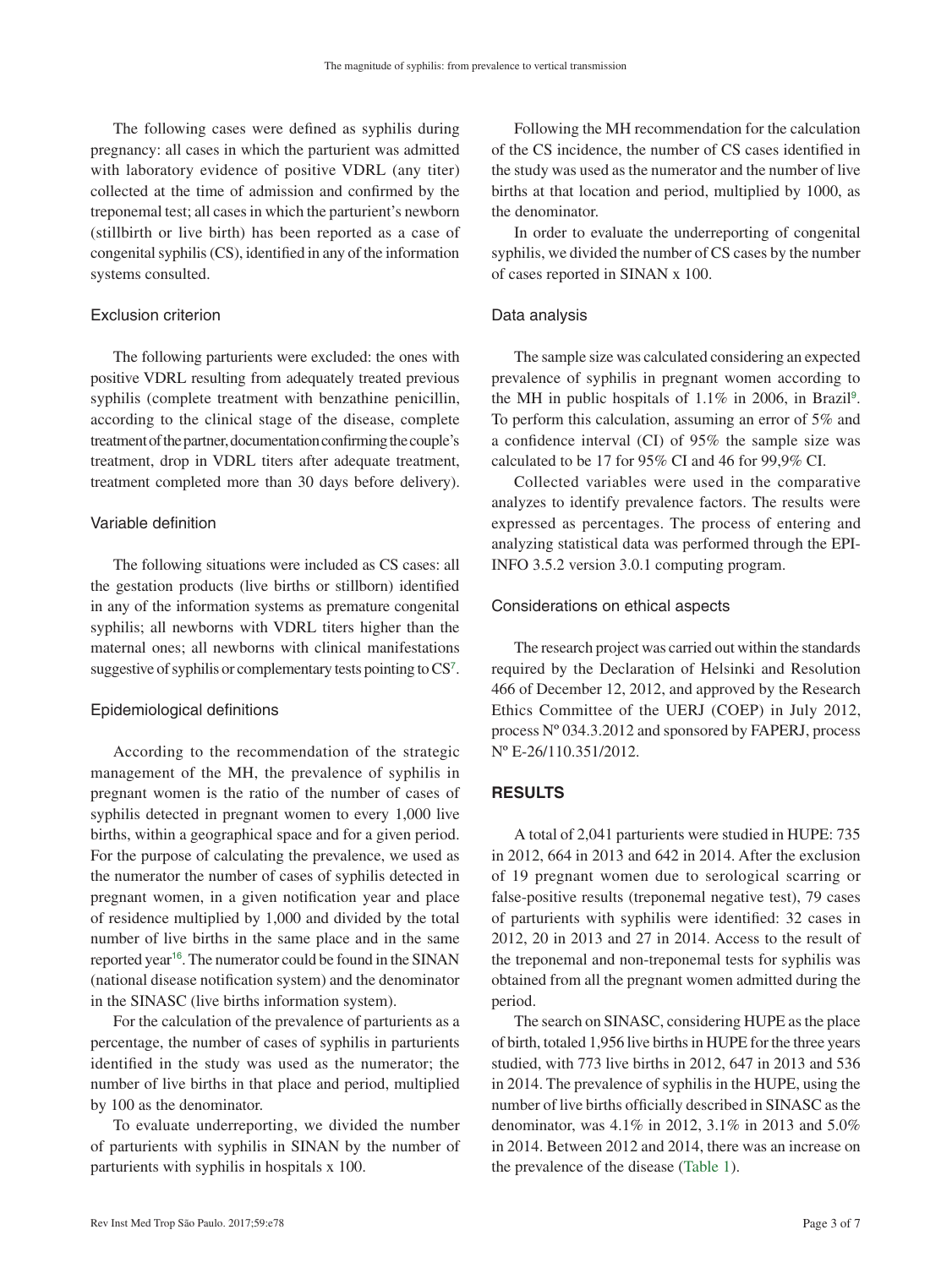The following cases were defined as syphilis during pregnancy: all cases in which the parturient was admitted with laboratory evidence of positive VDRL (any titer) collected at the time of admission and confirmed by the treponemal test; all cases in which the parturient's newborn (stillbirth or live birth) has been reported as a case of congenital syphilis (CS), identified in any of the information systems consulted.

#### Exclusion criterion

The following parturients were excluded: the ones with positive VDRL resulting from adequately treated previous syphilis (complete treatment with benzathine penicillin, according to the clinical stage of the disease, complete treatment of the partner, documentation confirming the couple's treatment, drop in VDRL titers after adequate treatment, treatment completed more than 30 days before delivery).

# Variable definition

The following situations were included as CS cases: all the gestation products (live births or stillborn) identified in any of the information systems as premature congenital syphilis; all newborns with VDRL titers higher than the maternal ones; all newborns with clinical manifestations suggestive of syphilis or complementary tests pointing to CS<sup>[7](#page-5-0)</sup>.

#### Epidemiological definitions

According to the recommendation of the strategic management of the MH, the prevalence of syphilis in pregnant women is the ratio of the number of cases of syphilis detected in pregnant women to every 1,000 live births, within a geographical space and for a given period. For the purpose of calculating the prevalence, we used as the numerator the number of cases of syphilis detected in pregnant women, in a given notification year and place of residence multiplied by 1,000 and divided by the total number of live births in the same place and in the same reported year<sup>[16](#page-5-0)</sup>. The numerator could be found in the SINAN (national disease notification system) and the denominator in the SINASC (live births information system).

For the calculation of the prevalence of parturients as a percentage, the number of cases of syphilis in parturients identified in the study was used as the numerator; the number of live births in that place and period, multiplied by 100 as the denominator.

To evaluate underreporting, we divided the number of parturients with syphilis in SINAN by the number of parturients with syphilis in hospitals x 100.

Following the MH recommendation for the calculation of the CS incidence, the number of CS cases identified in the study was used as the numerator and the number of live births at that location and period, multiplied by 1000, as the denominator.

In order to evaluate the underreporting of congenital syphilis, we divided the number of CS cases by the number of cases reported in SINAN x 100.

#### Data analysis

The sample size was calculated considering an expected prevalence of syphilis in pregnant women according to the MH in public hospitals of  $1.1\%$  in 2006, in Brazil<sup>[9](#page-5-0)</sup>. To perform this calculation, assuming an error of 5% and a confidence interval (CI) of 95% the sample size was calculated to be 17 for 95% CI and 46 for 99,9% CI.

Collected variables were used in the comparative analyzes to identify prevalence factors. The results were expressed as percentages. The process of entering and analyzing statistical data was performed through the EPI-INFO 3.5.2 version 3.0.1 computing program.

#### Considerations on ethical aspects

The research project was carried out within the standards required by the Declaration of Helsinki and Resolution 466 of December 12, 2012, and approved by the Research Ethics Committee of the UERJ (COEP) in July 2012, process Nº 034.3.2012 and sponsored by FAPERJ, process Nº E-26/110.351/2012.

# **RESULTS**

A total of 2,041 parturients were studied in HUPE: 735 in 2012, 664 in 2013 and 642 in 2014. After the exclusion of 19 pregnant women due to serological scarring or false-positive results (treponemal negative test), 79 cases of parturients with syphilis were identified: 32 cases in 2012, 20 in 2013 and 27 in 2014. Access to the result of the treponemal and non-treponemal tests for syphilis was obtained from all the pregnant women admitted during the period.

<span id="page-2-0"></span>The search on SINASC, considering HUPE as the place of birth, totaled 1,956 live births in HUPE for the three years studied, with 773 live births in 2012, 647 in 2013 and 536 in 2014. The prevalence of syphilis in the HUPE, using the number of live births officially described in SINASC as the denominator, was 4.1% in 2012, 3.1% in 2013 and 5.0% in 2014. Between 2012 and 2014, there was an increase on the prevalence of the disease ([Table 1](#page-3-0)).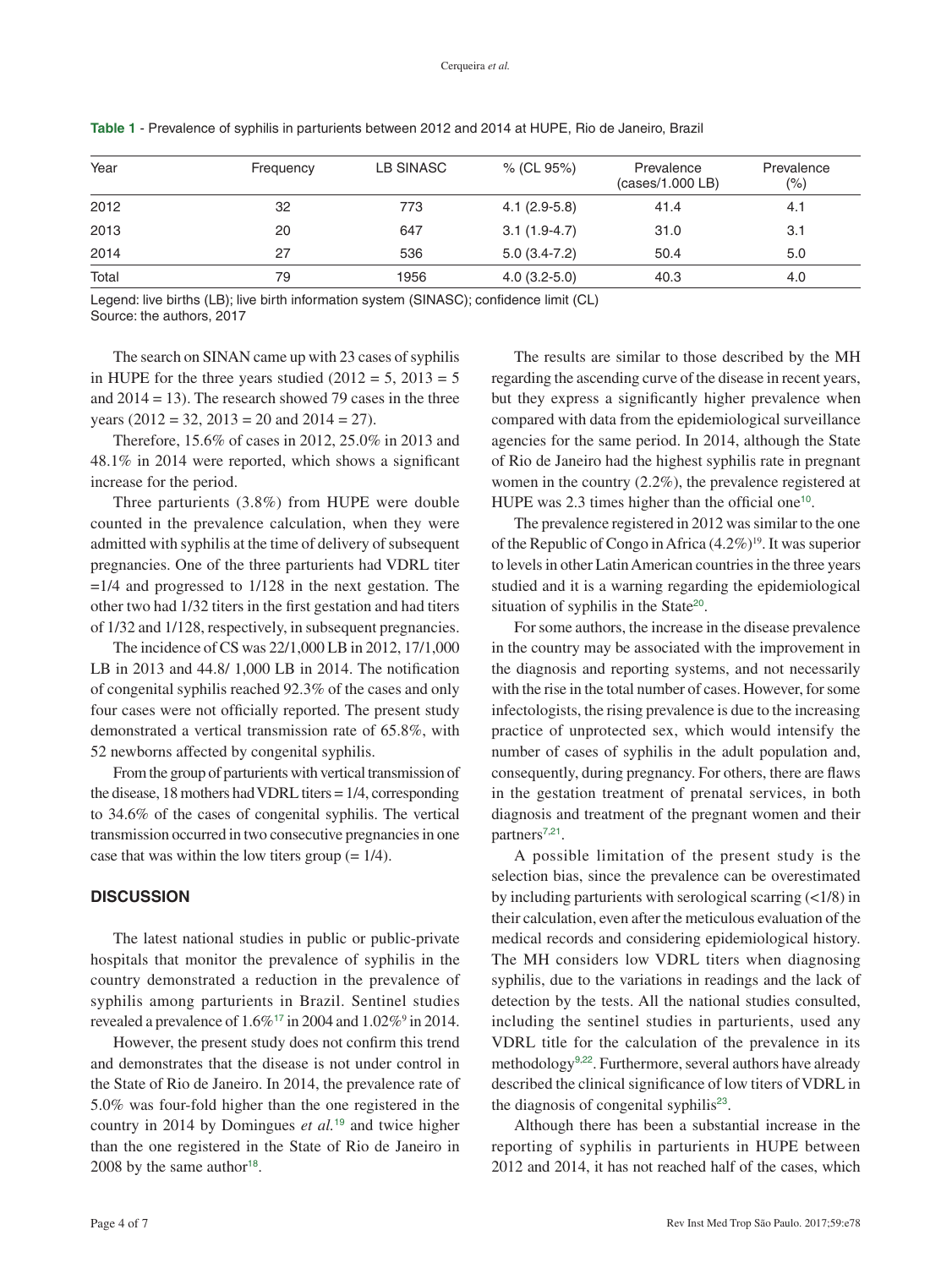| Year  | Frequency | LB SINASC | % (CL 95%)     | Prevalence<br>(cases/1.000 LB) | Prevalence<br>(% ) |
|-------|-----------|-----------|----------------|--------------------------------|--------------------|
| 2012  | 32        | 773       | $4.1(2.9-5.8)$ | 41.4                           | 4.1                |
| 2013  | 20        | 647       | $3.1(1.9-4.7)$ | 31.0                           | 3.1                |
| 2014  | 27        | 536       | $5.0(3.4-7.2)$ | 50.4                           | 5.0                |
| Total | 79        | 1956      | $4.0(3.2-5.0)$ | 40.3                           | 4.0                |

<span id="page-3-0"></span>**Table 1** [- Prevalence of syphilis in parturients between 2012 and 2014 at HUPE, Rio de Janeiro, Brazil](#page-2-0)

Legend: live births (LB); live birth information system (SINASC); confidence limit (CL) Source: the authors, 2017

The search on SINAN came up with 23 cases of syphilis in HUPE for the three years studied  $(2012 = 5, 2013 = 5)$ and  $2014 = 13$ ). The research showed 79 cases in the three years (2012 = 32, 2013 = 20 and 2014 = 27).

Therefore, 15.6% of cases in 2012, 25.0% in 2013 and 48.1% in 2014 were reported, which shows a significant increase for the period.

Three parturients (3.8%) from HUPE were double counted in the prevalence calculation, when they were admitted with syphilis at the time of delivery of subsequent pregnancies. One of the three parturients had VDRL titer  $=1/4$  and progressed to  $1/128$  in the next gestation. The other two had 1/32 titers in the first gestation and had titers of 1/32 and 1/128, respectively, in subsequent pregnancies.

The incidence of CS was 22/1,000 LB in 2012, 17/1,000 LB in 2013 and 44.8/ 1,000 LB in 2014. The notification of congenital syphilis reached 92.3% of the cases and only four cases were not officially reported. The present study demonstrated a vertical transmission rate of 65.8%, with 52 newborns affected by congenital syphilis.

From the group of parturients with vertical transmission of the disease, 18 mothers had VDRL titers = 1/4, corresponding to 34.6% of the cases of congenital syphilis. The vertical transmission occurred in two consecutive pregnancies in one case that was within the low titers group  $(= 1/4)$ .

# **DISCUSSION**

The latest national studies in public or public-private hospitals that monitor the prevalence of syphilis in the country demonstrated a reduction in the prevalence of syphilis among parturients in Brazil. Sentinel studies revealed a prevalence of  $1.6\%$ <sup>[17](#page-5-0)</sup> in 2004 and  $1.02\%$ <sup>9</sup> in 2014.

<span id="page-3-2"></span><span id="page-3-1"></span>However, the present study does not confirm this trend and demonstrates that the disease is not under control in the State of Rio de Janeiro. In 2014, the prevalence rate of 5.0% was four-fold higher than the one registered in the country in 2014 by Domingues *et al.*[19](#page-5-0) and twice higher than the one registered in the State of Rio de Janeiro in 2008 by the same author<sup>[18](#page-5-0)</sup>.

The results are similar to those described by the MH regarding the ascending curve of the disease in recent years, but they express a significantly higher prevalence when compared with data from the epidemiological surveillance agencies for the same period. In 2014, although the State of Rio de Janeiro had the highest syphilis rate in pregnant women in the country (2.2%), the prevalence registered at HUPE was  $2.3$  times higher than the official one<sup>[10](#page-5-0)</sup>.

The prevalence registered in 2012 was similar to the one of the Republic of Congo in Africa  $(4.2\%)^{19}$ . It was superior to levels in other Latin American countries in the three years studied and it is a warning regarding the epidemiological situation of syphilis in the State<sup>[20](#page-5-0)</sup>.

<span id="page-3-4"></span>For some authors, the increase in the disease prevalence in the country may be associated with the improvement in the diagnosis and reporting systems, and not necessarily with the rise in the total number of cases. However, for some infectologists, the rising prevalence is due to the increasing practice of unprotected sex, which would intensify the number of cases of syphilis in the adult population and, consequently, during pregnancy. For others, there are flaws in the gestation treatment of prenatal services, in both diagnosis and treatment of the pregnant women and their partners<sup>[7](#page-5-0),[21](#page-5-0)</sup>.

<span id="page-3-5"></span>A possible limitation of the present study is the selection bias, since the prevalence can be overestimated by including parturients with serological scarring  $\left($  <1/8) in their calculation, even after the meticulous evaluation of the medical records and considering epidemiological history. The MH considers low VDRL titers when diagnosing syphilis, due to the variations in readings and the lack of detection by the tests. All the national studies consulted, including the sentinel studies in parturients, used any VDRL title for the calculation of the prevalence in its methodology[9](#page-5-0),[22](#page-5-0). Furthermore, several authors have already described the clinical significance of low titers of VDRL in the diagnosis of congenital syphilis<sup>[23](#page-5-0)</sup>.

<span id="page-3-7"></span><span id="page-3-6"></span><span id="page-3-3"></span>Although there has been a substantial increase in the reporting of syphilis in parturients in HUPE between 2012 and 2014, it has not reached half of the cases, which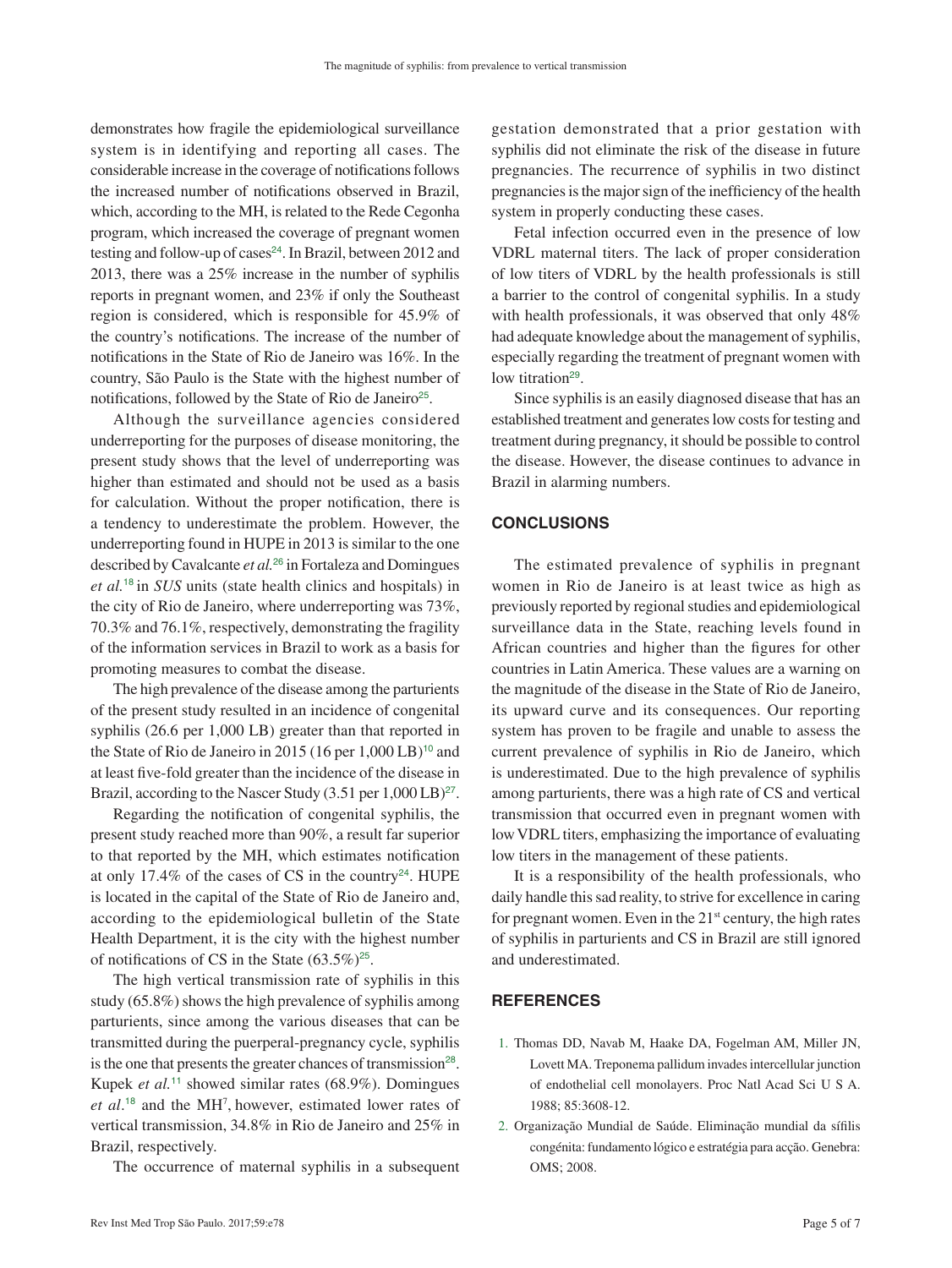<span id="page-4-1"></span><span id="page-4-0"></span>demonstrates how fragile the epidemiological surveillance system is in identifying and reporting all cases. The considerable increase in the coverage of notifications follows the increased number of notifications observed in Brazil, which, according to the MH, is related to the Rede Cegonha program, which increased the coverage of pregnant women testing and follow-up of cases<sup>[24](#page-5-0)</sup>. In Brazil, between 2012 and 2013, there was a 25% increase in the number of syphilis reports in pregnant women, and 23% if only the Southeast region is considered, which is responsible for 45.9% of the country's notifications. The increase of the number of notifications in the State of Rio de Janeiro was 16%. In the country, São Paulo is the State with the highest number of notifications, followed by the State of Rio de Janeiro<sup>[25](#page-5-0)</sup>.

<span id="page-4-2"></span>Although the surveillance agencies considered underreporting for the purposes of disease monitoring, the present study shows that the level of underreporting was higher than estimated and should not be used as a basis for calculation. Without the proper notification, there is a tendency to underestimate the problem. However, the underreporting found in HUPE in 2013 is similar to the one described by Cavalcante *et al.*[26](#page-5-0) in Fortaleza and Domingues *et al.*[18](#page-5-0) in *SUS* units (state health clinics and hospitals) in the city of Rio de Janeiro, where underreporting was 73%, 70.3% and 76.1%, respectively, demonstrating the fragility of the information services in Brazil to work as a basis for promoting measures to combat the disease.

The high prevalence of the disease among the parturients of the present study resulted in an incidence of congenital syphilis (26.6 per 1,000 LB) greater than that reported in the State of Rio de Janeiro in 2015 (16 per 1,000 LB)<sup>[10](#page-5-0)</sup> and at least five-fold greater than the incidence of the disease in Brazil, according to the Nascer Study  $(3.51 \text{ per } 1,000 \text{ LB})^{27}$  $(3.51 \text{ per } 1,000 \text{ LB})^{27}$  $(3.51 \text{ per } 1,000 \text{ LB})^{27}$ .

Regarding the notification of congenital syphilis, the present study reached more than 90%, a result far superior to that reported by the MH, which estimates notification at only 17.4% of the cases of CS in the country<sup>[24](#page-5-0)</sup>. HUPE is located in the capital of the State of Rio de Janeiro and, according to the epidemiological bulletin of the State Health Department, it is the city with the highest number of notifications of CS in the State  $(63.5\%)^{25}$  $(63.5\%)^{25}$  $(63.5\%)^{25}$ .

<span id="page-4-5"></span>The high vertical transmission rate of syphilis in this study (65.8%) shows the high prevalence of syphilis among parturients, since among the various diseases that can be transmitted during the puerperal-pregnancy cycle, syphilis is the one that presents the greater chances of transmission<sup>[28](#page-6-0)</sup>. Kupek *et al.*[11](#page-5-0) showed similar rates (68.9%). Domingues *et al*. [18](#page-5-0) and the MH7 , however, estimated lower rates of vertical transmission, 34.8% in Rio de Janeiro and 25% in Brazil, respectively.

The occurrence of maternal syphilis in a subsequent

gestation demonstrated that a prior gestation with syphilis did not eliminate the risk of the disease in future pregnancies. The recurrence of syphilis in two distinct pregnancies is the major sign of the inefficiency of the health system in properly conducting these cases.

Fetal infection occurred even in the presence of low VDRL maternal titers. The lack of proper consideration of low titers of VDRL by the health professionals is still a barrier to the control of congenital syphilis. In a study with health professionals, it was observed that only 48% had adequate knowledge about the management of syphilis, especially regarding the treatment of pregnant women with low titration<sup>[29](#page-6-0)</sup>.

<span id="page-4-6"></span>Since syphilis is an easily diagnosed disease that has an established treatment and generates low costs for testing and treatment during pregnancy, it should be possible to control the disease. However, the disease continues to advance in Brazil in alarming numbers.

# **CONCLUSIONS**

<span id="page-4-3"></span>The estimated prevalence of syphilis in pregnant women in Rio de Janeiro is at least twice as high as previously reported by regional studies and epidemiological surveillance data in the State, reaching levels found in African countries and higher than the figures for other countries in Latin America. These values are a warning on the magnitude of the disease in the State of Rio de Janeiro, its upward curve and its consequences. Our reporting system has proven to be fragile and unable to assess the current prevalence of syphilis in Rio de Janeiro, which is underestimated. Due to the high prevalence of syphilis among parturients, there was a high rate of CS and vertical transmission that occurred even in pregnant women with low VDRL titers, emphasizing the importance of evaluating low titers in the management of these patients.

<span id="page-4-4"></span>It is a responsibility of the health professionals, who daily handle this sad reality, to strive for excellence in caring for pregnant women. Even in the  $21<sup>st</sup>$  century, the high rates of syphilis in parturients and CS in Brazil are still ignored and underestimated.

# **REFERENCES**

- 1. [Thomas DD, Navab M, Haake DA, Fogelman AM, Miller JN,](#page-0-0)  [Lovett MA. Treponema pallidum invades intercellular junction](#page-0-0)  [of endothelial cell monolayers. Proc Natl Acad Sci U S A.](#page-0-0)  [1988; 85:3608-12.](#page-0-0)
- 2. [Organização Mundial de Saúde. Eliminação mundial da sífilis](#page-0-1)  [congénita: fundamento lógico e estratégia para acção. Genebra:](#page-0-1)  [OMS; 2008.](#page-0-1)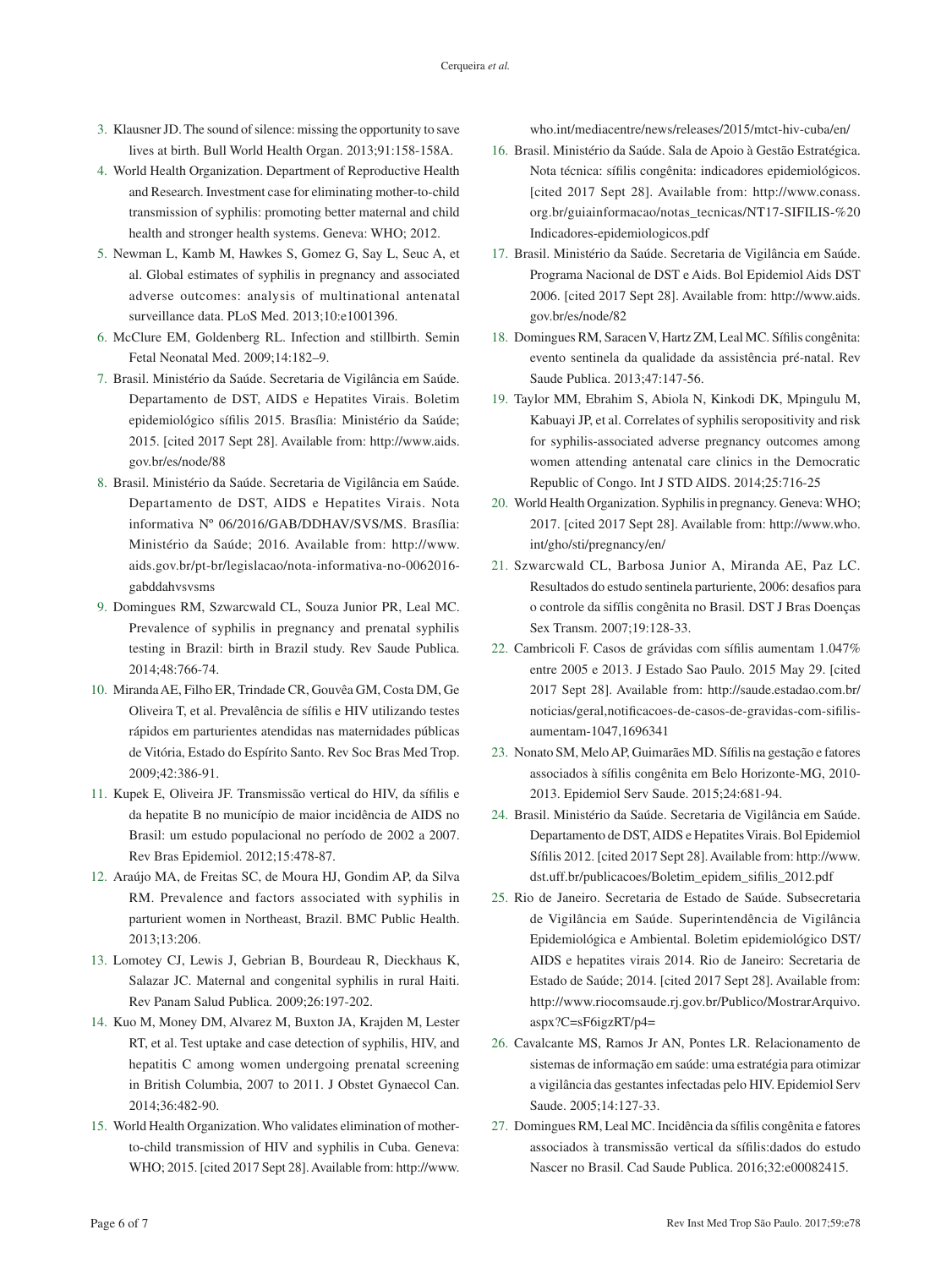- <span id="page-5-0"></span>3. [Klausner JD. The sound of silence: missing the opportunity to save](#page-1-0)  [lives at birth. Bull World Health Organ. 2013;91:158-158A.](#page-1-0)
- 4. [World Health Organization. Department of Reproductive Health](#page-1-1)  [and Research. Investment case for eliminating mother-to-child](#page-1-1)  [transmission of syphilis: promoting better maternal and child](#page-1-1)  [health and stronger health systems. Geneva: WHO; 2012.](#page-1-1)
- 5. [Newman L, Kamb M, Hawkes S, Gomez G, Say L, Seuc A, et](#page-1-2)  [al. Global estimates of syphilis in pregnancy and associated](#page-1-2)  [adverse outcomes: analysis of multinational antenatal](#page-1-2)  [surveillance data. PLoS Med. 2013;10:e1001396.](#page-1-2)
- 6. [McClure EM, Goldenberg RL. Infection and stillbirth. Semin](#page-1-3)  [Fetal Neonatal Med. 2009;14:182–9.](#page-1-3)
- 7. [Brasil. Ministério da Saúde. Secretaria de Vigilância em Saúde.](#page-1-4)  [Departamento de DST, AIDS e Hepatites Virais. Boletim](#page-1-4)  [epidemiológico sífilis 2015. Brasília: Ministério da Saúde;](#page-1-4)  [2015. \[cited 2017 Sept 28\]. Available from:](#page-1-4) [http://www.aids.](http://www.aids.gov.br/es/node/88) [gov.br/es/node/88](http://www.aids.gov.br/es/node/88)
- 8. [Brasil. Ministério da Saúde. Secretaria de Vigilância em Saúde.](#page-1-5)  [Departamento de DST, AIDS e Hepatites Virais. Nota](#page-1-5)  [informativa Nº 06/2016/GAB/DDHAV/SVS/MS. Brasília:](#page-1-5)  [Ministério da Saúde; 2016. Available from:](#page-1-5) [http://www.](http://www.aids.gov.br/pt-br/legislacao/nota-informativa-no-0062016-gabddahvsvsms) [aids.gov.br/pt-br/legislacao/nota-informativa-no-0062016](http://www.aids.gov.br/pt-br/legislacao/nota-informativa-no-0062016-gabddahvsvsms) [gabddahvsvsms](http://www.aids.gov.br/pt-br/legislacao/nota-informativa-no-0062016-gabddahvsvsms)
- 9. [Domingues RM, Szwarcwald CL, Souza Junior PR, Leal MC.](#page-1-6)  [Prevalence of syphilis in pregnancy and prenatal syphilis](#page-1-6)  [testing in Brazil: birth in Brazil study. Rev Saude Publica.](#page-1-6)  [2014;48:766-74.](#page-1-6)
- 10. [Miranda AE, Filho ER, Trindade CR, Gouvêa GM, Costa DM, Ge](#page-1-7)  [Oliveira T, et al. Prevalência de sífilis e HIV utilizando testes](#page-1-7)  [rápidos em parturientes atendidas nas maternidades públicas](#page-1-7)  [de Vitória, Estado do Espírito Santo. Rev Soc Bras Med Trop.](#page-1-7)  [2009;42:386-91.](#page-1-7)
- 11. [Kupek E, Oliveira JF. Transmissão vertical do HIV, da sífilis e](#page-1-8)  [da hepatite B no município de maior incidência de AIDS no](#page-1-8)  [Brasil: um estudo populacional no período de 2002 a 2007.](#page-1-8)  [Rev Bras Epidemiol. 2012;15:478-87.](#page-1-8)
- 12. [Araújo MA, de Freitas SC, de Moura HJ, Gondim AP, da Silva](#page-1-9)  [RM. Prevalence and factors associated with syphilis in](#page-1-9)  [parturient women in Northeast, Brazil. BMC Public Health.](#page-1-9)  [2013;13:206.](#page-1-9)
- 13. [Lomotey CJ, Lewis J, Gebrian B, Bourdeau R, Dieckhaus K,](#page-1-10)  [Salazar JC. Maternal and congenital syphilis in rural Haiti.](#page-1-10)  [Rev Panam Salud Publica. 2009;26:197-202.](#page-1-10)
- 14. [Kuo M, Money DM, Alvarez M, Buxton JA, Krajden M, Lester](#page-1-11)  [RT, et al. Test uptake and case detection of syphilis, HIV, and](#page-1-11)  [hepatitis C among women undergoing prenatal screening](#page-1-11)  [in British Columbia, 2007 to 2011. J Obstet Gynaecol Can.](#page-1-11)  [2014;36:482-90.](#page-1-11)
- 15. [World Health Organization. Who validates elimination of mother](#page-1-12)[to-child transmission of HIV and syphilis in Cuba. Geneva:](#page-1-12)  [WHO; 2015. \[cited 2017 Sept 28\]. Available from:](#page-1-12) [http://www.](http://www.who.int/mediacentre/news/releases/2015/mtct-hiv-cuba/en/)

[who.int/mediacentre/news/releases/2015/mtct-hiv-cuba/en/](http://www.who.int/mediacentre/news/releases/2015/mtct-hiv-cuba/en/)

- 16. Brasil. Ministério da Saúde. Sala de Apoio à Gestão Estratégica. Nota técnica: sífilis congênita: indicadores epidemiológicos. [cited 2017 Sept 28]. Available from: [http://www.conass.](http://www.conass.org.br/guiainformacao/notas_tecnicas/NT17-SIFILIS-%20Indicadores-epidemiologicos.pdf ) [org.br/guiainformacao/notas\\_tecnicas/NT17-SIFILIS-%20](http://www.conass.org.br/guiainformacao/notas_tecnicas/NT17-SIFILIS-%20Indicadores-epidemiologicos.pdf ) [Indicadores-epidemiologicos.pdf](http://www.conass.org.br/guiainformacao/notas_tecnicas/NT17-SIFILIS-%20Indicadores-epidemiologicos.pdf )
- 17. [Brasil. Ministério da Saúde. Secretaria de Vigilância em Saúde.](#page-3-1)  [Programa Nacional de DST e Aids. Bol Epidemiol Aids DST](#page-3-1)  [2006. \[cited 2017 Sept 28\]. Available from:](#page-3-1) [http://www.aids.](http://www.aids.gov.br/es/node/82) [gov.br/es/node/82](http://www.aids.gov.br/es/node/82)
- 18. [Domingues RM, Saracen V, Hartz ZM, Leal MC. Sífilis congênita:](#page-3-2)  [evento sentinela da qualidade da assistência pré-natal. Rev](#page-3-2)  [Saude Publica. 2013;47:147-56.](#page-3-2)
- 19. [Taylor MM, Ebrahim S, Abiola N, Kinkodi DK, Mpingulu M,](#page-3-3)  [Kabuayi JP, et al. Correlates of syphilis seropositivity and risk](#page-3-3)  [for syphilis-associated adverse pregnancy outcomes among](#page-3-3)  [women attending antenatal care clinics in the Democratic](#page-3-3)  [Republic of Congo. Int J STD AIDS. 2014;25:716-25](#page-3-3)
- 20. [World Health Organization. Syphilis in pregnancy. Geneva: WHO;](#page-3-4)  [2017. \[cited 2017 Sept 28\]. Available from:](#page-3-4) [http://www.who.](http://www.who.int/gho/sti/pregnancy/en/) [int/gho/sti/pregnancy/en/](http://www.who.int/gho/sti/pregnancy/en/)
- 21. [Szwarcwald CL, Barbosa Junior A, Miranda AE, Paz LC.](#page-3-5)  [Resultados do estudo sentinela parturiente, 2006: desafios para](#page-3-5)  [o controle da sifílis congênita no Brasil. DST J Bras Doenças](#page-3-5)  [Sex Transm. 2007;19:128-33.](#page-3-5)
- 22. [Cambricoli F. Casos de grávidas com sífilis aumentam 1.047%](#page-3-6)  [entre 2005 e 2013. J Estado Sao Paulo. 2015 May 29. \[cited](#page-3-6)  [2017 Sept 28\]. Available from:](#page-3-6) [http://saude.estadao.com.br/](http://saude.estadao.com.br/noticias/geral,notificacoes-de-casos-de-gravidas-com-sifilis-aumentam-1047,1696341) [noticias/geral,notificacoes-de-casos-de-gravidas-com-sifilis](http://saude.estadao.com.br/noticias/geral,notificacoes-de-casos-de-gravidas-com-sifilis-aumentam-1047,1696341)[aumentam-1047,1696341](http://saude.estadao.com.br/noticias/geral,notificacoes-de-casos-de-gravidas-com-sifilis-aumentam-1047,1696341)
- 23. [Nonato SM, Melo AP, Guimarães MD. Sífilis na gestação e fatores](#page-3-7)  [associados à sífilis congênita em Belo Horizonte-MG, 2010-](#page-3-7) [2013. Epidemiol Serv Saude. 2015;24:681-94.](#page-3-7)
- 24. [Brasil. Ministério da Saúde. Secretaria de Vigilância em Saúde.](#page-4-1)  [Departamento de DST, AIDS e Hepatites Virais. Bol Epidemiol](#page-4-1)  [Sífilis 2012. \[cited 2017 Sept 28\]. Available from:](#page-4-1) [http://www.](http://www.dst.uff.br/publicacoes/Boletim_epidem_sifilis_2012.pdf) [dst.uff.br/publicacoes/Boletim\\_epidem\\_sifilis\\_2012.pdf](http://www.dst.uff.br/publicacoes/Boletim_epidem_sifilis_2012.pdf)
- 25. [Rio de Janeiro. Secretaria de Estado de Saúde. Subsecretaria](#page-4-2)  [de Vigilância em Saúde. Superintendência de Vigilância](#page-4-2)  [Epidemiológica e Ambiental. Boletim epidemiológico DST/](#page-4-2) [AIDS e hepatites virais 2014. Rio de Janeiro: Secretaria de](#page-4-2)  [Estado de Saúde; 2014. \[cited 2017 Sept 28\]. Available from:](#page-4-2) [http://www.riocomsaude.rj.gov.br/Publico/MostrarArquivo.](http://www.riocomsaude.rj.gov.br/Publico/MostrarArquivo.aspx?C=sF6igzRT/p4=) [aspx?C=sF6igzRT/p4=](http://www.riocomsaude.rj.gov.br/Publico/MostrarArquivo.aspx?C=sF6igzRT/p4=)
- 26. [Cavalcante MS, Ramos Jr AN, Pontes LR. Relacionamento de](#page-4-3)  [sistemas de informação em saúde: uma estratégia para otimizar](#page-4-3)  [a vigilância das gestantes infectadas pelo HIV. Epidemiol Serv](#page-4-3)  [Saude. 2005;14:127-33.](#page-4-3)
- 27. [Domingues RM, Leal MC. Incidência da sífilis congênita e fatores](#page-4-4)  [associados à transmissão vertical da sífilis:dados do estudo](#page-4-4)  [Nascer no Brasil. Cad Saude Publica. 2016;32:e00082415.](#page-4-4)